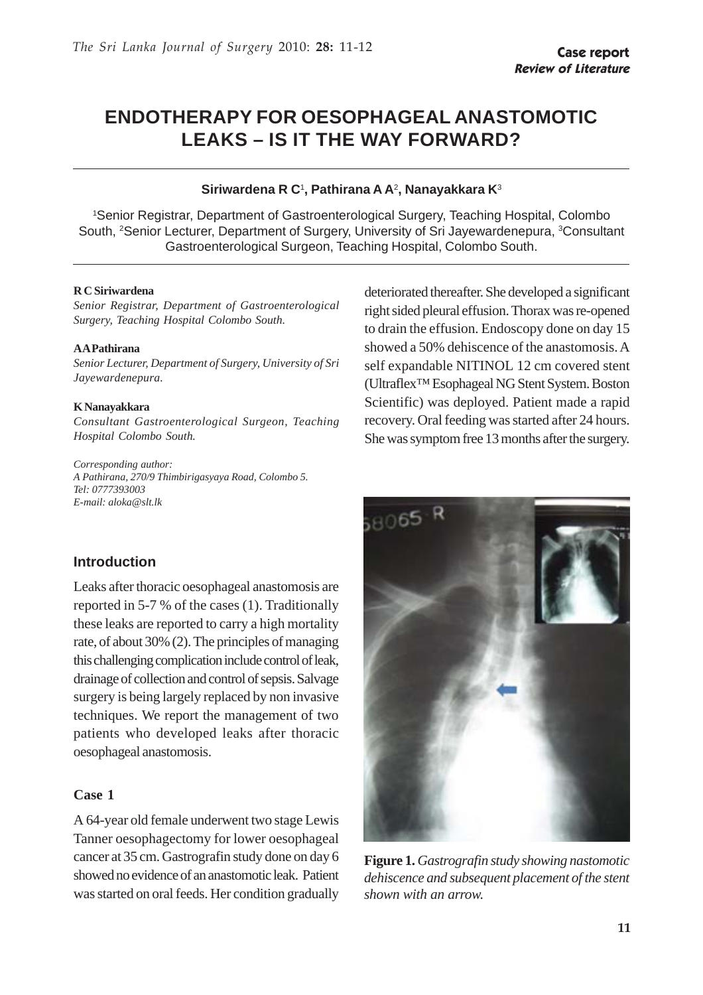# **ENDOTHERAPY FOR OESOPHAGEAL ANASTOMOTIC LEAKS – IS IT THE WAY FORWARD?**

#### **Siriwardena R C**<sup>1</sup> **, Pathirana A A**2**, Nanayakkara K**<sup>3</sup>

1 Senior Registrar, Department of Gastroenterological Surgery, Teaching Hospital, Colombo South, <sup>2</sup>Senior Lecturer, Department of Surgery, University of Sri Jayewardenepura, <sup>3</sup>Consultant Gastroenterological Surgeon, Teaching Hospital, Colombo South.

#### **R C Siriwardena**

*Senior Registrar, Department of Gastroenterological Surgery, Teaching Hospital Colombo South.*

#### **A A Pathirana**

*Senior Lecturer, Department of Surgery, University of Sri Jayewardenepura.*

#### **K Nanayakkara**

*Consultant Gastroenterological Surgeon, Teaching Hospital Colombo South.*

*Corresponding author: A Pathirana, 270/9 Thimbirigasyaya Road, Colombo 5. Tel: 0777393003 E-mail: aloka@slt.lk*

### **Introduction**

Leaks after thoracic oesophageal anastomosis are reported in 5-7 % of the cases (1). Traditionally these leaks are reported to carry a high mortality rate, of about 30% (2). The principles of managing this challenging complication include control of leak, drainage of collection and control of sepsis. Salvage surgery is being largely replaced by non invasive techniques. We report the management of two patients who developed leaks after thoracic oesophageal anastomosis.

#### **Case 1**

A 64-year old female underwent two stage Lewis Tanner oesophagectomy for lower oesophageal cancer at 35 cm. Gastrografin study done on day 6 showed no evidence of an anastomotic leak. Patient was started on oral feeds. Her condition gradually

deteriorated thereafter. She developed a significant right sided pleural effusion. Thorax was re-opened to drain the effusion. Endoscopy done on day 15 showed a 50% dehiscence of the anastomosis. A self expandable NITINOL 12 cm covered stent (Ultraflex™ Esophageal NG Stent System. Boston Scientific) was deployed. Patient made a rapid recovery. Oral feeding was started after 24 hours. She was symptom free 13 months after the surgery.



**Figure 1.** *Gastrografin study showing nastomotic dehiscence and subsequent placement of the stent shown with an arrow.*